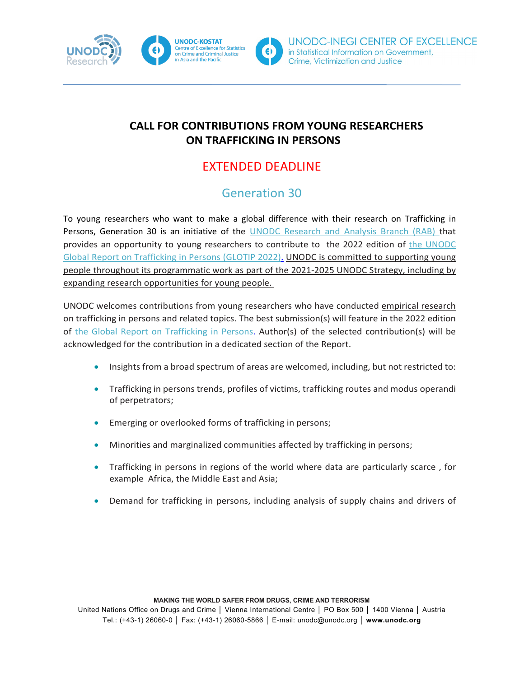



### **CALL FOR CONTRIBUTIONS FROM YOUNG RESEARCHERS ON TRAFFICKING IN PERSONS**

## EXTENDED DEADLINE

# Generation 30

To young researchers who want to make a global difference with their research on Trafficking in Persons, Generation 30 is an initiative of the [UNODC Research and Analysis Branch \(RAB\)](https://www.unodc.org/unodc/en/data-and-analysis/index.html) that provides an opportunity to young researchers to contribute to the 2022 edition of the UNODC [Global Report on Trafficking in Persons](https://www.unodc.org/unodc/data-and-analysis/glotip.html) (GLOTIP 2022). UNODC is committed to supporting young people throughout its programmatic work as part of the 2021-2025 UNODC Strategy, including by expanding research opportunities for young people.

UNODC welcomes contributions from young researchers who have conducted empirical research on trafficking in persons and related topics. The best submission(s) will feature in the 2022 edition of [the Global Report on Trafficking in Persons.](https://www.unodc.org/unodc/data-and-analysis/glotip.html) Author(s) of the selected contribution(s) will be acknowledged for the contribution in a dedicated section of the Report.

- Insights from a broad spectrum of areas are welcomed, including, but not restricted to:
- Trafficking in persons trends, profiles of victims, trafficking routes and modus operandi of perpetrators;
- Emerging or overlooked forms of trafficking in persons;
- Minorities and marginalized communities affected by trafficking in persons;
- Trafficking in persons in regions of the world where data are particularly scarce , for example Africa, the Middle East and Asia;
- Demand for trafficking in persons, including analysis of supply chains and drivers of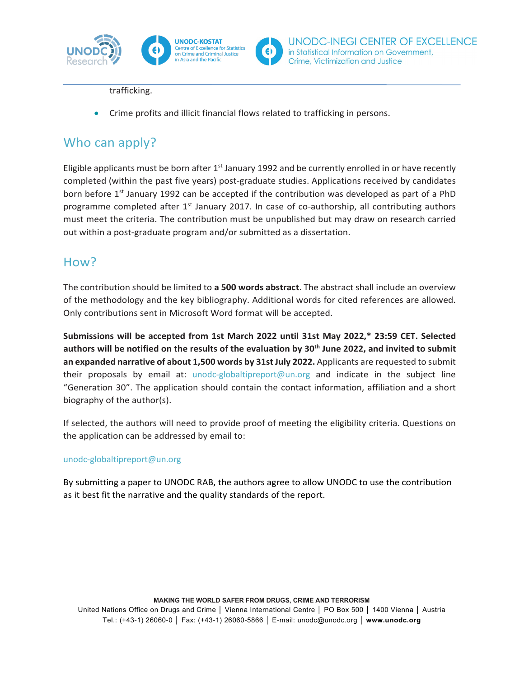

UNODC-INEGI CENTER OF EXCELLENCE

in Statistical Information on Government,

Crime, Victimization and Justice

trafficking.

• Crime profits and illicit financial flows related to trafficking in persons.

## Who can apply?

Eligible applicants must be born after  $1<sup>st</sup>$  January 1992 and be currently enrolled in or have recently completed (within the past five years) post-graduate studies. Applications received by candidates born before 1<sup>st</sup> January 1992 can be accepted if the contribution was developed as part of a PhD programme completed after 1<sup>st</sup> January 2017. In case of co-authorship, all contributing authors must meet the criteria. The contribution must be unpublished but may draw on research carried out within a post-graduate program and/or submitted as a dissertation.

#### How?

The contribution should be limited to **a 500 words abstract**. The abstract shall include an overview of the methodology and the key bibliography. Additional words for cited references are allowed. Only contributions sent in Microsoft Word format will be accepted.

**Submissions will be accepted from 1st March 2022 until 31st May 2022,\* 23:59 CET. Selected authors will be notified on the results of the evaluation by 30th June 2022, and invited to submit an expanded narrative of about 1,500 words by 31st July 2022.** Applicants are requested to submit their proposals by email at: [unodc-globaltipreport@un.org](mailto:unodc-globaltipreport@un.org) and indicate in the subject line "Generation 30". The application should contain the contact information, affiliation and a short biography of the author(s).

If selected, the authors will need to provide proof of meeting the eligibility criteria. Questions on the application can be addressed by email to:

#### [unodc-globaltipreport@un.org](mailto:unodc-globaltipreport@un.org)

By submitting a paper to UNODC RAB, the authors agree to allow UNODC to use the contribution as it best fit the narrative and the quality standards of the report.